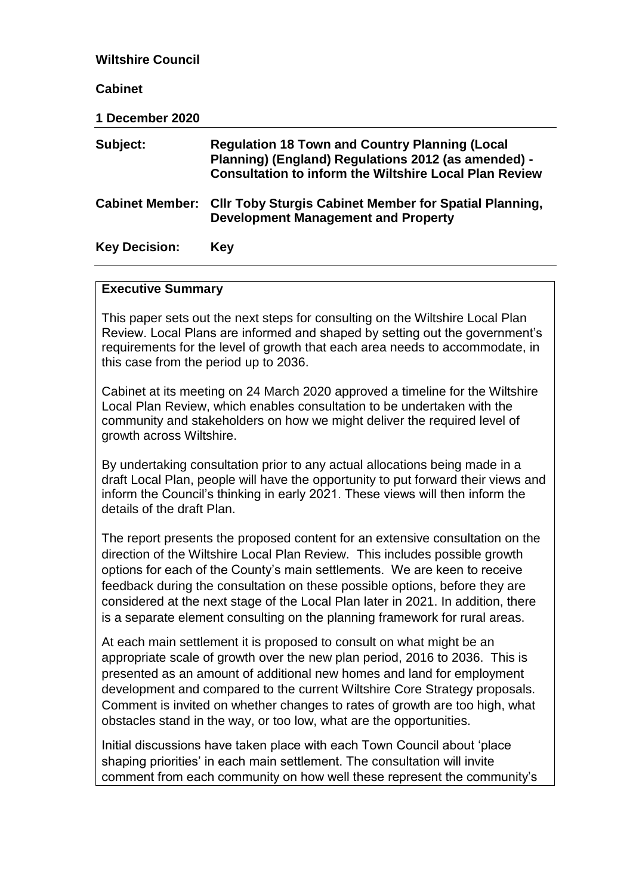| <b>Wiltshire Council</b> |                                                                                                                                                                               |
|--------------------------|-------------------------------------------------------------------------------------------------------------------------------------------------------------------------------|
| <b>Cabinet</b>           |                                                                                                                                                                               |
| <b>1 December 2020</b>   |                                                                                                                                                                               |
| Subject:                 | <b>Regulation 18 Town and Country Planning (Local</b><br>Planning) (England) Regulations 2012 (as amended) -<br><b>Consultation to inform the Wiltshire Local Plan Review</b> |
| <b>Cabinet Member:</b>   | <b>CIIr Toby Sturgis Cabinet Member for Spatial Planning,</b><br><b>Development Management and Property</b>                                                                   |
| <b>Key Decision:</b>     | <b>Key</b>                                                                                                                                                                    |

#### **Executive Summary**

This paper sets out the next steps for consulting on the Wiltshire Local Plan Review. Local Plans are informed and shaped by setting out the government's requirements for the level of growth that each area needs to accommodate, in this case from the period up to 2036.

Cabinet at its meeting on 24 March 2020 approved a timeline for the Wiltshire Local Plan Review, which enables consultation to be undertaken with the community and stakeholders on how we might deliver the required level of growth across Wiltshire.

By undertaking consultation prior to any actual allocations being made in a draft Local Plan, people will have the opportunity to put forward their views and inform the Council's thinking in early 2021. These views will then inform the details of the draft Plan.

The report presents the proposed content for an extensive consultation on the direction of the Wiltshire Local Plan Review. This includes possible growth options for each of the County's main settlements. We are keen to receive feedback during the consultation on these possible options, before they are considered at the next stage of the Local Plan later in 2021. In addition, there is a separate element consulting on the planning framework for rural areas.

At each main settlement it is proposed to consult on what might be an appropriate scale of growth over the new plan period, 2016 to 2036. This is presented as an amount of additional new homes and land for employment development and compared to the current Wiltshire Core Strategy proposals. Comment is invited on whether changes to rates of growth are too high, what obstacles stand in the way, or too low, what are the opportunities.

Initial discussions have taken place with each Town Council about 'place shaping priorities' in each main settlement. The consultation will invite comment from each community on how well these represent the community's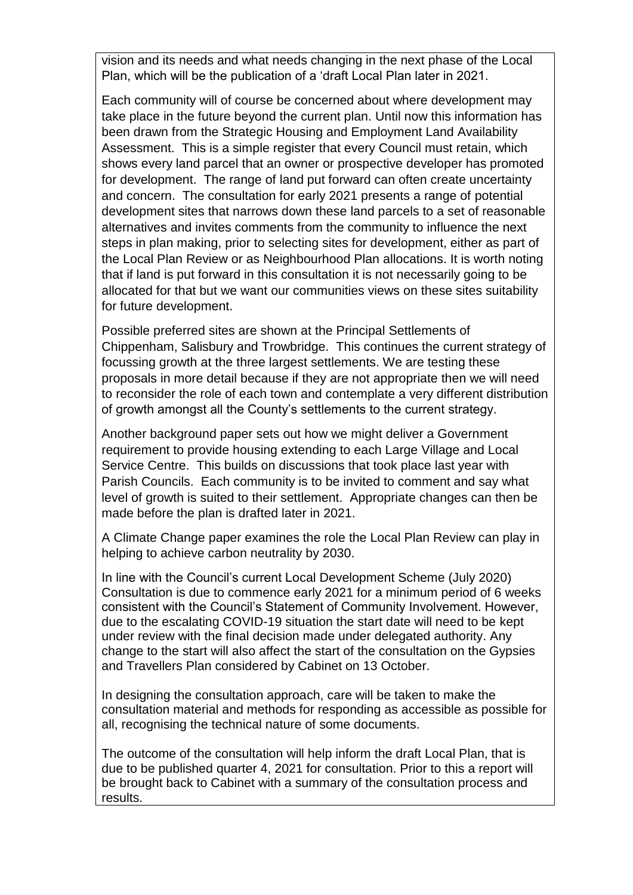vision and its needs and what needs changing in the next phase of the Local Plan, which will be the publication of a 'draft Local Plan later in 2021.

Each community will of course be concerned about where development may take place in the future beyond the current plan. Until now this information has been drawn from the Strategic Housing and Employment Land Availability Assessment. This is a simple register that every Council must retain, which shows every land parcel that an owner or prospective developer has promoted for development. The range of land put forward can often create uncertainty and concern. The consultation for early 2021 presents a range of potential development sites that narrows down these land parcels to a set of reasonable alternatives and invites comments from the community to influence the next steps in plan making, prior to selecting sites for development, either as part of the Local Plan Review or as Neighbourhood Plan allocations. It is worth noting that if land is put forward in this consultation it is not necessarily going to be allocated for that but we want our communities views on these sites suitability for future development.

Possible preferred sites are shown at the Principal Settlements of Chippenham, Salisbury and Trowbridge. This continues the current strategy of focussing growth at the three largest settlements. We are testing these proposals in more detail because if they are not appropriate then we will need to reconsider the role of each town and contemplate a very different distribution of growth amongst all the County's settlements to the current strategy.

Another background paper sets out how we might deliver a Government requirement to provide housing extending to each Large Village and Local Service Centre. This builds on discussions that took place last year with Parish Councils. Each community is to be invited to comment and say what level of growth is suited to their settlement. Appropriate changes can then be made before the plan is drafted later in 2021.

A Climate Change paper examines the role the Local Plan Review can play in helping to achieve carbon neutrality by 2030.

In line with the Council's current Local Development Scheme (July 2020) Consultation is due to commence early 2021 for a minimum period of 6 weeks consistent with the Council's Statement of Community Involvement. However, due to the escalating COVID-19 situation the start date will need to be kept under review with the final decision made under delegated authority. Any change to the start will also affect the start of the consultation on the Gypsies and Travellers Plan considered by Cabinet on 13 October.

In designing the consultation approach, care will be taken to make the consultation material and methods for responding as accessible as possible for all, recognising the technical nature of some documents.

The outcome of the consultation will help inform the draft Local Plan, that is due to be published quarter 4, 2021 for consultation. Prior to this a report will be brought back to Cabinet with a summary of the consultation process and results.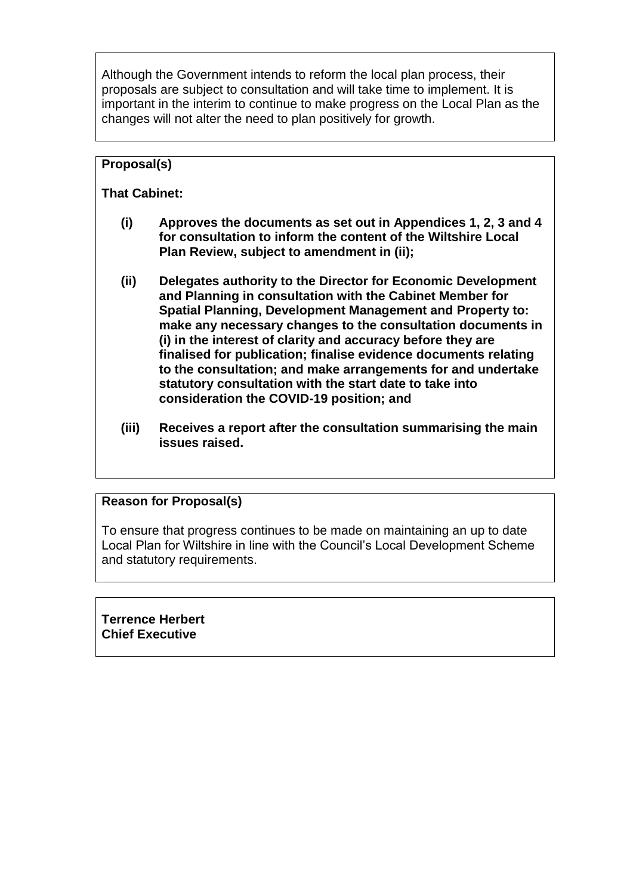Although the Government intends to reform the local plan process, their proposals are subject to consultation and will take time to implement. It is important in the interim to continue to make progress on the Local Plan as the changes will not alter the need to plan positively for growth.

# **Proposal(s)**

# **That Cabinet:**

- **(i) Approves the documents as set out in Appendices 1, 2, 3 and 4 for consultation to inform the content of the Wiltshire Local Plan Review, subject to amendment in (ii);**
- **(ii) Delegates authority to the Director for Economic Development and Planning in consultation with the Cabinet Member for Spatial Planning, Development Management and Property to: make any necessary changes to the consultation documents in (i) in the interest of clarity and accuracy before they are finalised for publication; finalise evidence documents relating to the consultation; and make arrangements for and undertake statutory consultation with the start date to take into consideration the COVID-19 position; and**
- **(iii) Receives a report after the consultation summarising the main issues raised.**

## **Reason for Proposal(s)**

To ensure that progress continues to be made on maintaining an up to date Local Plan for Wiltshire in line with the Council's Local Development Scheme and statutory requirements.

**Terrence Herbert Chief Executive**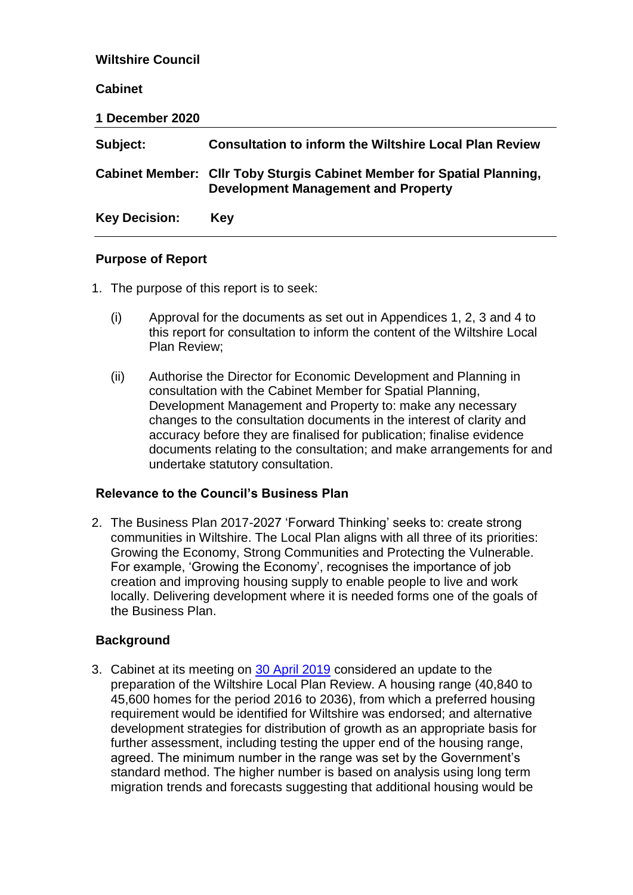| <b>Wiltshire Council</b> |                                                                                                                      |
|--------------------------|----------------------------------------------------------------------------------------------------------------------|
| <b>Cabinet</b>           |                                                                                                                      |
| 1 December 2020          |                                                                                                                      |
| Subject:                 | <b>Consultation to inform the Wiltshire Local Plan Review</b>                                                        |
|                          | Cabinet Member: Cllr Toby Sturgis Cabinet Member for Spatial Planning,<br><b>Development Management and Property</b> |
| <b>Key Decision:</b>     | Key                                                                                                                  |

#### **Purpose of Report**

- 1. The purpose of this report is to seek:
	- (i) Approval for the documents as set out in Appendices 1, 2, 3 and 4 to this report for consultation to inform the content of the Wiltshire Local Plan Review;
	- (ii) Authorise the Director for Economic Development and Planning in consultation with the Cabinet Member for Spatial Planning, Development Management and Property to: make any necessary changes to the consultation documents in the interest of clarity and accuracy before they are finalised for publication; finalise evidence documents relating to the consultation; and make arrangements for and undertake statutory consultation.

#### **Relevance to the Council's Business Plan**

2. The Business Plan 2017-2027 'Forward Thinking' seeks to: create strong communities in Wiltshire. The Local Plan aligns with all three of its priorities: Growing the Economy, Strong Communities and Protecting the Vulnerable. For example, 'Growing the Economy', recognises the importance of job creation and improving housing supply to enable people to live and work locally. Delivering development where it is needed forms one of the goals of the Business Plan.

#### **Background**

3. Cabinet at its meeting on [30 April 2019](https://cms.wiltshire.gov.uk/ieListDocuments.aspx?CId=141&MId=12497&Ver=4) considered an update to the preparation of the Wiltshire Local Plan Review. A housing range (40,840 to 45,600 homes for the period 2016 to 2036), from which a preferred housing requirement would be identified for Wiltshire was endorsed; and alternative development strategies for distribution of growth as an appropriate basis for further assessment, including testing the upper end of the housing range, agreed. The minimum number in the range was set by the Government's standard method. The higher number is based on analysis using long term migration trends and forecasts suggesting that additional housing would be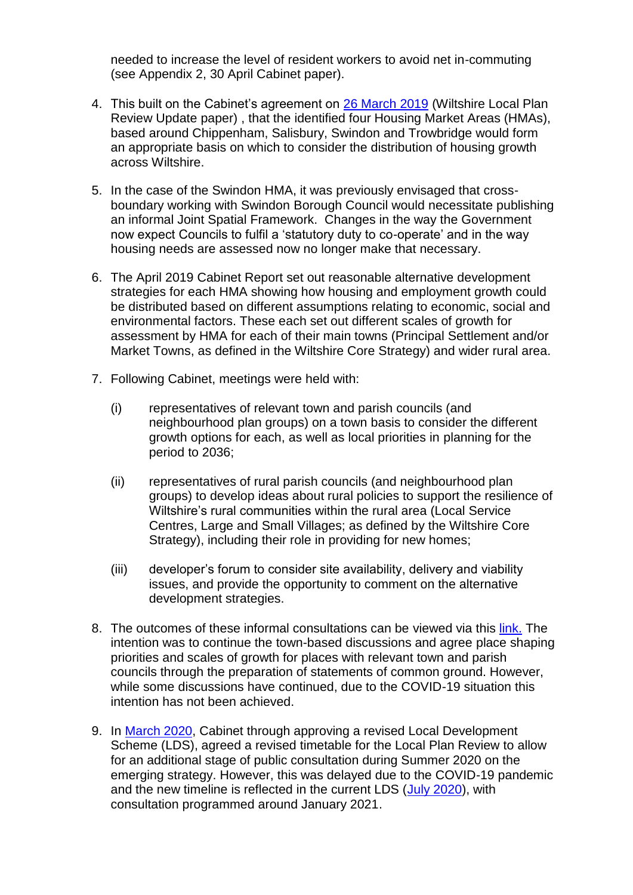needed to increase the level of resident workers to avoid net in-commuting (see Appendix 2, 30 April Cabinet paper).

- 4. This built on the Cabinet's agreement on [26 March 2019](https://cms.wiltshire.gov.uk/ieListDocuments.aspx?CId=141&MId=12476&Ver=4) (Wiltshire Local Plan Review Update paper) , that the identified four Housing Market Areas (HMAs), based around Chippenham, Salisbury, Swindon and Trowbridge would form an appropriate basis on which to consider the distribution of housing growth across Wiltshire.
- 5. In the case of the Swindon HMA, it was previously envisaged that crossboundary working with Swindon Borough Council would necessitate publishing an informal Joint Spatial Framework. Changes in the way the Government now expect Councils to fulfil a 'statutory duty to co-operate' and in the way housing needs are assessed now no longer make that necessary.
- 6. The April 2019 Cabinet Report set out reasonable alternative development strategies for each HMA showing how housing and employment growth could be distributed based on different assumptions relating to economic, social and environmental factors. These each set out different scales of growth for assessment by HMA for each of their main towns (Principal Settlement and/or Market Towns, as defined in the Wiltshire Core Strategy) and wider rural area.
- 7. Following Cabinet, meetings were held with:
	- (i) representatives of relevant town and parish councils (and neighbourhood plan groups) on a town basis to consider the different growth options for each, as well as local priorities in planning for the period to 2036;
	- (ii) representatives of rural parish councils (and neighbourhood plan groups) to develop ideas about rural policies to support the resilience of Wiltshire's rural communities within the rural area (Local Service Centres, Large and Small Villages; as defined by the Wiltshire Core Strategy), including their role in providing for new homes;
	- (iii) developer's forum to consider site availability, delivery and viability issues, and provide the opportunity to comment on the alternative development strategies.
- 8. The outcomes of these informal consultations can be viewed via this [link.](https://www.wiltshire.gov.uk/planning-policy-local-plan-review) The intention was to continue the town-based discussions and agree place shaping priorities and scales of growth for places with relevant town and parish councils through the preparation of statements of common ground. However, while some discussions have continued, due to the COVID-19 situation this intention has not been achieved.
- 9. In [March 2020,](https://cms.wiltshire.gov.uk/ieListDocuments.aspx?CId=141&MId=12508&Ver=4) Cabinet through approving a revised Local Development Scheme (LDS), agreed a revised timetable for the Local Plan Review to allow for an additional stage of public consultation during Summer 2020 on the emerging strategy. However, this was delayed due to the COVID-19 pandemic and the new timeline is reflected in the current LDS [\(July 2020\)](http://www.wiltshire.gov.uk/planning-policy-lds), with consultation programmed around January 2021.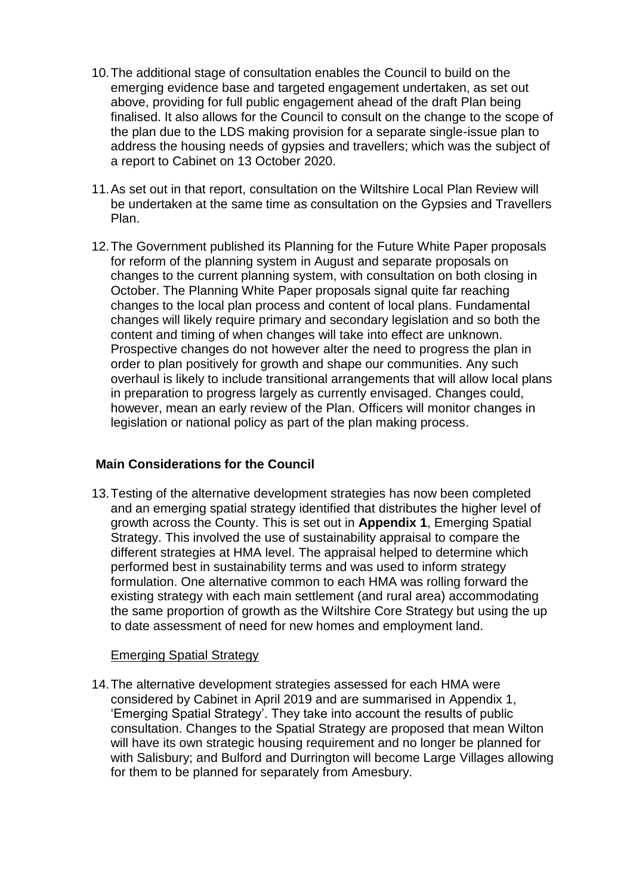- 10.The additional stage of consultation enables the Council to build on the emerging evidence base and targeted engagement undertaken, as set out above, providing for full public engagement ahead of the draft Plan being finalised. It also allows for the Council to consult on the change to the scope of the plan due to the LDS making provision for a separate single-issue plan to address the housing needs of gypsies and travellers; which was the subject of a report to Cabinet on 13 October 2020.
- 11.As set out in that report, consultation on the Wiltshire Local Plan Review will be undertaken at the same time as consultation on the Gypsies and Travellers Plan.
- 12.The Government published its Planning for the Future White Paper proposals for reform of the planning system in August and separate proposals on changes to the current planning system, with consultation on both closing in October. The Planning White Paper proposals signal quite far reaching changes to the local plan process and content of local plans. Fundamental changes will likely require primary and secondary legislation and so both the content and timing of when changes will take into effect are unknown. Prospective changes do not however alter the need to progress the plan in order to plan positively for growth and shape our communities. Any such overhaul is likely to include transitional arrangements that will allow local plans in preparation to progress largely as currently envisaged. Changes could, however, mean an early review of the Plan. Officers will monitor changes in legislation or national policy as part of the plan making process.

#### **Main Considerations for the Council**

13.Testing of the alternative development strategies has now been completed and an emerging spatial strategy identified that distributes the higher level of growth across the County. This is set out in **Appendix 1**, Emerging Spatial Strategy. This involved the use of sustainability appraisal to compare the different strategies at HMA level. The appraisal helped to determine which performed best in sustainability terms and was used to inform strategy formulation. One alternative common to each HMA was rolling forward the existing strategy with each main settlement (and rural area) accommodating the same proportion of growth as the Wiltshire Core Strategy but using the up to date assessment of need for new homes and employment land.

#### Emerging Spatial Strategy

14.The alternative development strategies assessed for each HMA were considered by Cabinet in April 2019 and are summarised in Appendix 1, 'Emerging Spatial Strategy'. They take into account the results of public consultation. Changes to the Spatial Strategy are proposed that mean Wilton will have its own strategic housing requirement and no longer be planned for with Salisbury; and Bulford and Durrington will become Large Villages allowing for them to be planned for separately from Amesbury.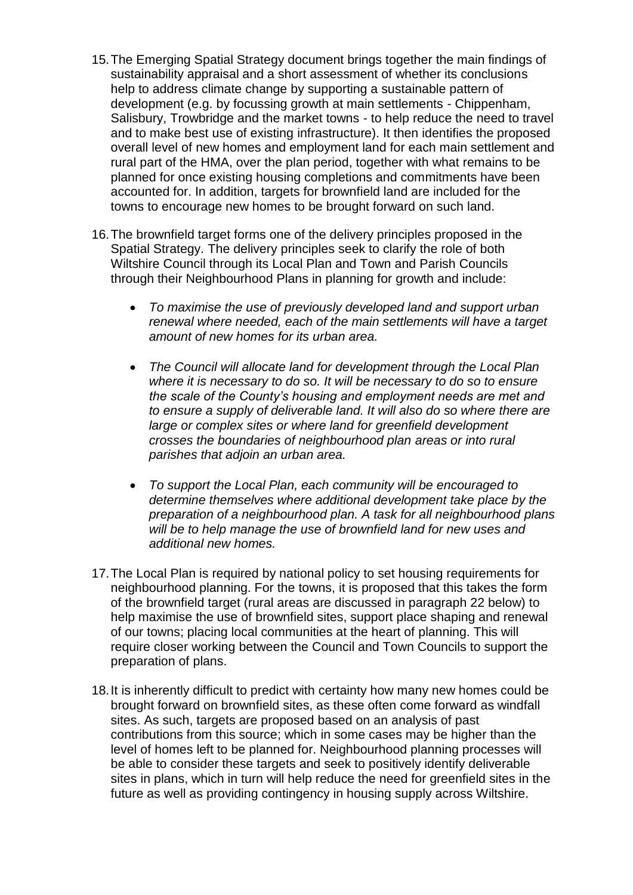- 15.The Emerging Spatial Strategy document brings together the main findings of sustainability appraisal and a short assessment of whether its conclusions help to address climate change by supporting a sustainable pattern of development (e.g. by focussing growth at main settlements - Chippenham, Salisbury, Trowbridge and the market towns - to help reduce the need to travel and to make best use of existing infrastructure). It then identifies the proposed overall level of new homes and employment land for each main settlement and rural part of the HMA, over the plan period, together with what remains to be planned for once existing housing completions and commitments have been accounted for. In addition, targets for brownfield land are included for the towns to encourage new homes to be brought forward on such land.
- 16.The brownfield target forms one of the delivery principles proposed in the Spatial Strategy. The delivery principles seek to clarify the role of both Wiltshire Council through its Local Plan and Town and Parish Councils through their Neighbourhood Plans in planning for growth and include:
	- *To maximise the use of previously developed land and support urban renewal where needed, each of the main settlements will have a target amount of new homes for its urban area.*
	- *The Council will allocate land for development through the Local Plan where it is necessary to do so. It will be necessary to do so to ensure the scale of the County's housing and employment needs are met and to ensure a supply of deliverable land. It will also do so where there are large or complex sites or where land for greenfield development crosses the boundaries of neighbourhood plan areas or into rural parishes that adjoin an urban area.*
	- *To support the Local Plan, each community will be encouraged to determine themselves where additional development take place by the preparation of a neighbourhood plan. A task for all neighbourhood plans will be to help manage the use of brownfield land for new uses and additional new homes.*
- 17.The Local Plan is required by national policy to set housing requirements for neighbourhood planning. For the towns, it is proposed that this takes the form of the brownfield target (rural areas are discussed in paragraph 22 below) to help maximise the use of brownfield sites, support place shaping and renewal of our towns; placing local communities at the heart of planning. This will require closer working between the Council and Town Councils to support the preparation of plans.
- 18.It is inherently difficult to predict with certainty how many new homes could be brought forward on brownfield sites, as these often come forward as windfall sites. As such, targets are proposed based on an analysis of past contributions from this source; which in some cases may be higher than the level of homes left to be planned for. Neighbourhood planning processes will be able to consider these targets and seek to positively identify deliverable sites in plans, which in turn will help reduce the need for greenfield sites in the future as well as providing contingency in housing supply across Wiltshire.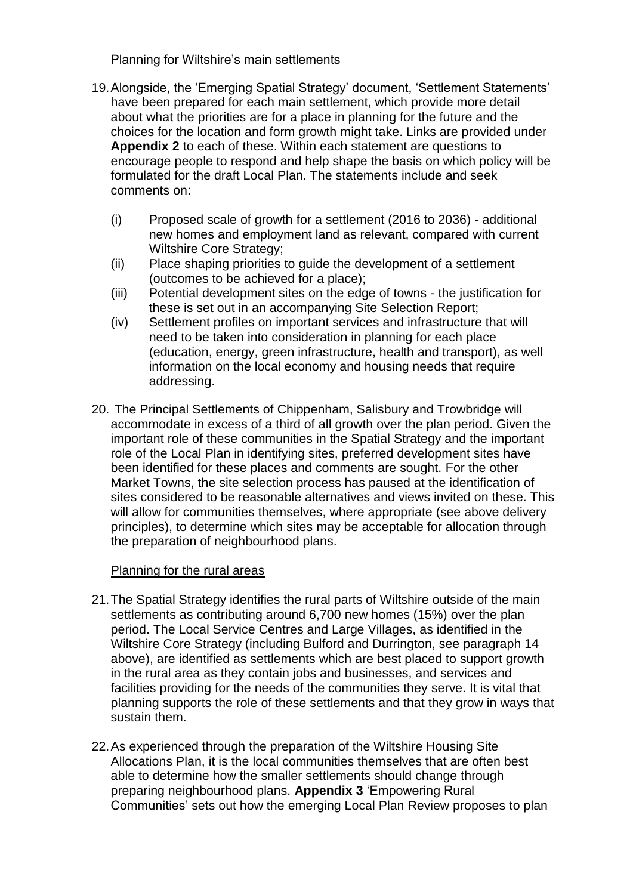# Planning for Wiltshire's main settlements

- 19.Alongside, the 'Emerging Spatial Strategy' document, 'Settlement Statements' have been prepared for each main settlement, which provide more detail about what the priorities are for a place in planning for the future and the choices for the location and form growth might take. Links are provided under **Appendix 2** to each of these. Within each statement are questions to encourage people to respond and help shape the basis on which policy will be formulated for the draft Local Plan. The statements include and seek comments on:
	- (i) Proposed scale of growth for a settlement (2016 to 2036) additional new homes and employment land as relevant, compared with current Wiltshire Core Strategy;
	- (ii) Place shaping priorities to guide the development of a settlement (outcomes to be achieved for a place);
	- (iii) Potential development sites on the edge of towns the justification for these is set out in an accompanying Site Selection Report;
	- (iv) Settlement profiles on important services and infrastructure that will need to be taken into consideration in planning for each place (education, energy, green infrastructure, health and transport), as well information on the local economy and housing needs that require addressing.
- 20. The Principal Settlements of Chippenham, Salisbury and Trowbridge will accommodate in excess of a third of all growth over the plan period. Given the important role of these communities in the Spatial Strategy and the important role of the Local Plan in identifying sites, preferred development sites have been identified for these places and comments are sought. For the other Market Towns, the site selection process has paused at the identification of sites considered to be reasonable alternatives and views invited on these. This will allow for communities themselves, where appropriate (see above delivery principles), to determine which sites may be acceptable for allocation through the preparation of neighbourhood plans.

## Planning for the rural areas

- 21.The Spatial Strategy identifies the rural parts of Wiltshire outside of the main settlements as contributing around 6,700 new homes (15%) over the plan period. The Local Service Centres and Large Villages, as identified in the Wiltshire Core Strategy (including Bulford and Durrington, see paragraph 14 above), are identified as settlements which are best placed to support growth in the rural area as they contain jobs and businesses, and services and facilities providing for the needs of the communities they serve. It is vital that planning supports the role of these settlements and that they grow in ways that sustain them.
- 22.As experienced through the preparation of the Wiltshire Housing Site Allocations Plan, it is the local communities themselves that are often best able to determine how the smaller settlements should change through preparing neighbourhood plans. **Appendix 3** 'Empowering Rural Communities' sets out how the emerging Local Plan Review proposes to plan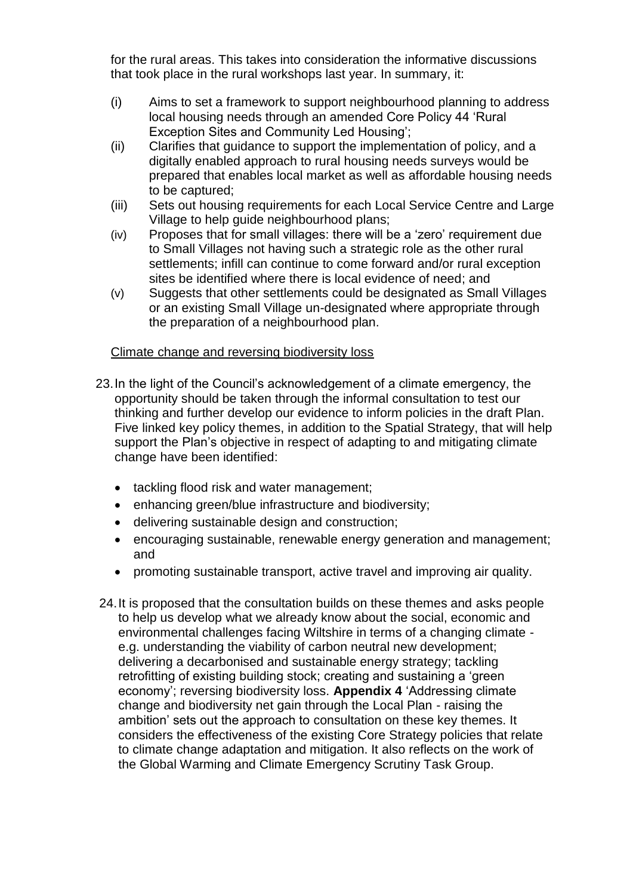for the rural areas. This takes into consideration the informative discussions that took place in the rural workshops last year. In summary, it:

- (i) Aims to set a framework to support neighbourhood planning to address local housing needs through an amended Core Policy 44 'Rural Exception Sites and Community Led Housing';
- (ii) Clarifies that guidance to support the implementation of policy, and a digitally enabled approach to rural housing needs surveys would be prepared that enables local market as well as affordable housing needs to be captured;
- (iii) Sets out housing requirements for each Local Service Centre and Large Village to help guide neighbourhood plans;
- (iv) Proposes that for small villages: there will be a 'zero' requirement due to Small Villages not having such a strategic role as the other rural settlements; infill can continue to come forward and/or rural exception sites be identified where there is local evidence of need; and
- (v) Suggests that other settlements could be designated as Small Villages or an existing Small Village un-designated where appropriate through the preparation of a neighbourhood plan.

#### Climate change and reversing biodiversity loss

- 23.In the light of the Council's acknowledgement of a climate emergency, the opportunity should be taken through the informal consultation to test our thinking and further develop our evidence to inform policies in the draft Plan. Five linked key policy themes, in addition to the Spatial Strategy, that will help support the Plan's objective in respect of adapting to and mitigating climate change have been identified:
	- tackling flood risk and water management;
	- enhancing green/blue infrastructure and biodiversity;
	- delivering sustainable design and construction;
	- encouraging sustainable, renewable energy generation and management; and
	- promoting sustainable transport, active travel and improving air quality.
- 24.It is proposed that the consultation builds on these themes and asks people to help us develop what we already know about the social, economic and environmental challenges facing Wiltshire in terms of a changing climate e.g. understanding the viability of carbon neutral new development; delivering a decarbonised and sustainable energy strategy; tackling retrofitting of existing building stock; creating and sustaining a 'green economy'; reversing biodiversity loss. **Appendix 4** 'Addressing climate change and biodiversity net gain through the Local Plan - raising the ambition' sets out the approach to consultation on these key themes. It considers the effectiveness of the existing Core Strategy policies that relate to climate change adaptation and mitigation. It also reflects on the work of the Global Warming and Climate Emergency Scrutiny Task Group.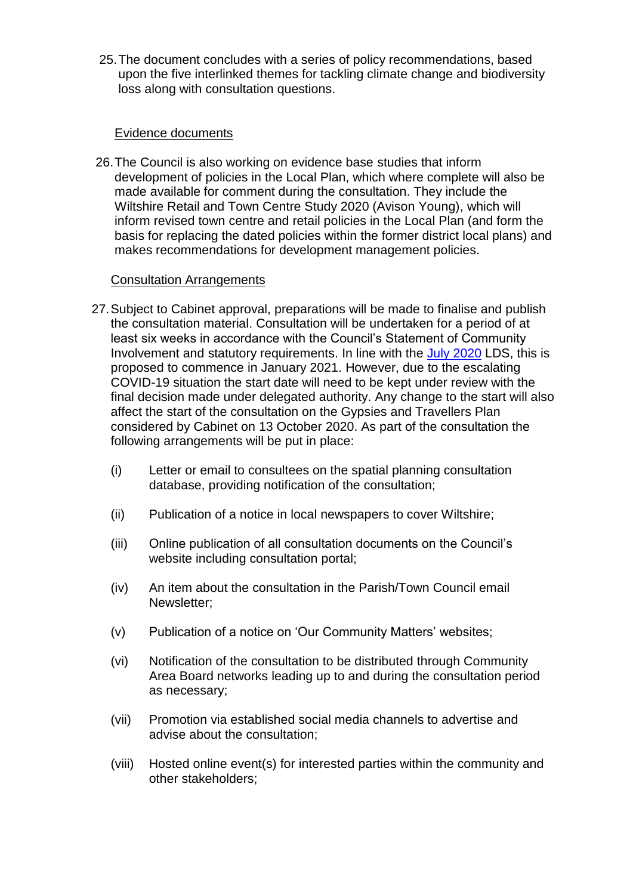25.The document concludes with a series of policy recommendations, based upon the five interlinked themes for tackling climate change and biodiversity loss along with consultation questions.

### Evidence documents

26.The Council is also working on evidence base studies that inform development of policies in the Local Plan, which where complete will also be made available for comment during the consultation. They include the Wiltshire Retail and Town Centre Study 2020 (Avison Young), which will inform revised town centre and retail policies in the Local Plan (and form the basis for replacing the dated policies within the former district local plans) and makes recommendations for development management policies.

### Consultation Arrangements

- 27.Subject to Cabinet approval, preparations will be made to finalise and publish the consultation material. Consultation will be undertaken for a period of at least six weeks in accordance with the Council's Statement of Community Involvement and statutory requirements. In line with the [July 2020](http://www.wiltshire.gov.uk/planning-policy-lds) LDS, this is proposed to commence in January 2021. However, due to the escalating COVID-19 situation the start date will need to be kept under review with the final decision made under delegated authority. Any change to the start will also affect the start of the consultation on the Gypsies and Travellers Plan considered by Cabinet on 13 October 2020. As part of the consultation the following arrangements will be put in place:
	- (i) Letter or email to consultees on the spatial planning consultation database, providing notification of the consultation;
	- (ii) Publication of a notice in local newspapers to cover Wiltshire;
	- (iii) Online publication of all consultation documents on the Council's website including consultation portal;
	- (iv) An item about the consultation in the Parish/Town Council email Newsletter;
	- (v) Publication of a notice on 'Our Community Matters' websites;
	- (vi) Notification of the consultation to be distributed through Community Area Board networks leading up to and during the consultation period as necessary;
	- (vii) Promotion via established social media channels to advertise and advise about the consultation;
	- (viii) Hosted online event(s) for interested parties within the community and other stakeholders;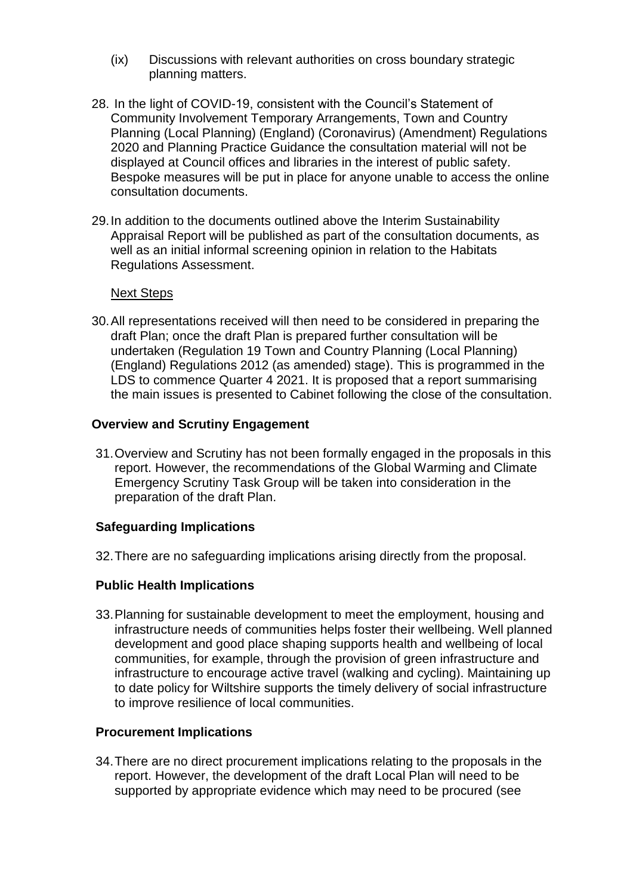- (ix) Discussions with relevant authorities on cross boundary strategic planning matters.
- 28. In the light of COVID-19, consistent with the Council's Statement of Community Involvement Temporary Arrangements, Town and Country Planning (Local Planning) (England) (Coronavirus) (Amendment) Regulations 2020 and Planning Practice Guidance the consultation material will not be displayed at Council offices and libraries in the interest of public safety. Bespoke measures will be put in place for anyone unable to access the online consultation documents.
- 29.In addition to the documents outlined above the Interim Sustainability Appraisal Report will be published as part of the consultation documents, as well as an initial informal screening opinion in relation to the Habitats Regulations Assessment.

#### Next Steps

30.All representations received will then need to be considered in preparing the draft Plan; once the draft Plan is prepared further consultation will be undertaken (Regulation 19 Town and Country Planning (Local Planning) (England) Regulations 2012 (as amended) stage). This is programmed in the LDS to commence Quarter 4 2021. It is proposed that a report summarising the main issues is presented to Cabinet following the close of the consultation.

#### **Overview and Scrutiny Engagement**

31.Overview and Scrutiny has not been formally engaged in the proposals in this report. However, the recommendations of the Global Warming and Climate Emergency Scrutiny Task Group will be taken into consideration in the preparation of the draft Plan.

#### **Safeguarding Implications**

32.There are no safeguarding implications arising directly from the proposal.

#### **Public Health Implications**

33.Planning for sustainable development to meet the employment, housing and infrastructure needs of communities helps foster their wellbeing. Well planned development and good place shaping supports health and wellbeing of local communities, for example, through the provision of green infrastructure and infrastructure to encourage active travel (walking and cycling). Maintaining up to date policy for Wiltshire supports the timely delivery of social infrastructure to improve resilience of local communities.

#### **Procurement Implications**

34.There are no direct procurement implications relating to the proposals in the report. However, the development of the draft Local Plan will need to be supported by appropriate evidence which may need to be procured (see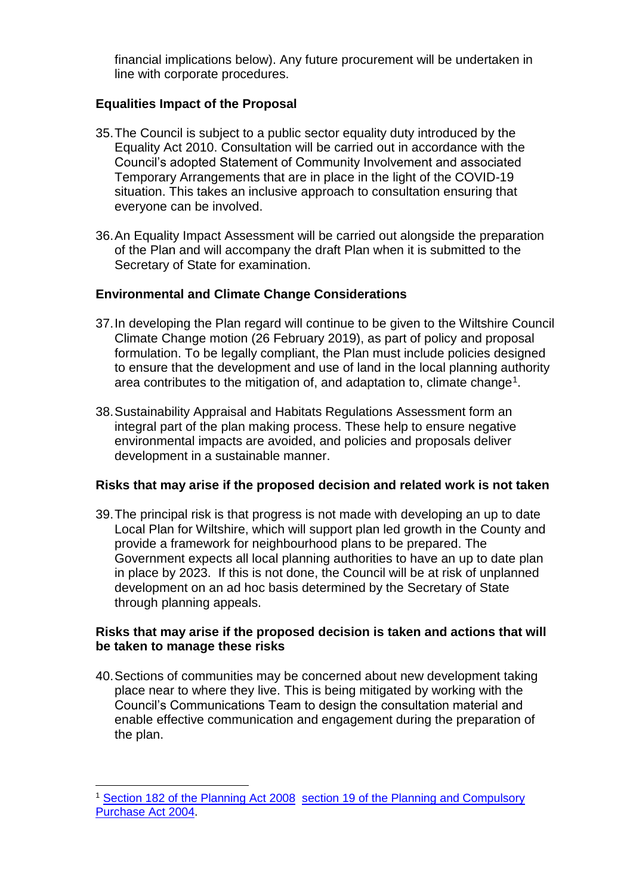financial implications below). Any future procurement will be undertaken in line with corporate procedures.

### **Equalities Impact of the Proposal**

- 35.The Council is subject to a public sector equality duty introduced by the Equality Act 2010. Consultation will be carried out in accordance with the Council's adopted Statement of Community Involvement and associated Temporary Arrangements that are in place in the light of the COVID-19 situation. This takes an inclusive approach to consultation ensuring that everyone can be involved.
- 36.An Equality Impact Assessment will be carried out alongside the preparation of the Plan and will accompany the draft Plan when it is submitted to the Secretary of State for examination.

## **Environmental and Climate Change Considerations**

- 37.In developing the Plan regard will continue to be given to the Wiltshire Council Climate Change motion (26 February 2019), as part of policy and proposal formulation. To be legally compliant, the Plan must include policies designed to ensure that the development and use of land in the local planning authority area contributes to the mitigation of, and adaptation to, climate change<sup>1</sup>.
- 38.Sustainability Appraisal and Habitats Regulations Assessment form an integral part of the plan making process. These help to ensure negative environmental impacts are avoided, and policies and proposals deliver development in a sustainable manner.

## **Risks that may arise if the proposed decision and related work is not taken**

39.The principal risk is that progress is not made with developing an up to date Local Plan for Wiltshire, which will support plan led growth in the County and provide a framework for neighbourhood plans to be prepared. The Government expects all local planning authorities to have an up to date plan in place by 2023. If this is not done, the Council will be at risk of unplanned development on an ad hoc basis determined by the Secretary of State through planning appeals.

### **Risks that may arise if the proposed decision is taken and actions that will be taken to manage these risks**

40.Sections of communities may be concerned about new development taking place near to where they live. This is being mitigated by working with the Council's Communications Team to design the consultation material and enable effective communication and engagement during the preparation of the plan.

1

<sup>&</sup>lt;sup>1</sup> [Section 182 of the Planning Act 2008](https://www.legislation.gov.uk/ukpga/2008/29/section/182) section 19 of the Planning and Compulsory [Purchase Act 2004.](https://www.legislation.gov.uk/ukpga/2004/5/section/19)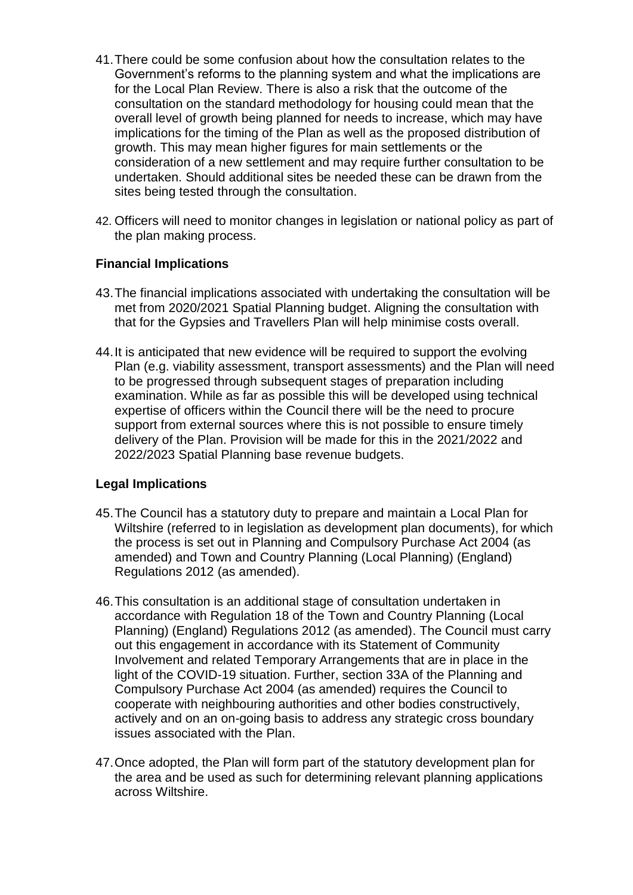- 41.There could be some confusion about how the consultation relates to the Government's reforms to the planning system and what the implications are for the Local Plan Review. There is also a risk that the outcome of the consultation on the standard methodology for housing could mean that the overall level of growth being planned for needs to increase, which may have implications for the timing of the Plan as well as the proposed distribution of growth. This may mean higher figures for main settlements or the consideration of a new settlement and may require further consultation to be undertaken. Should additional sites be needed these can be drawn from the sites being tested through the consultation.
- 42. Officers will need to monitor changes in legislation or national policy as part of the plan making process.

### **Financial Implications**

- 43.The financial implications associated with undertaking the consultation will be met from 2020/2021 Spatial Planning budget. Aligning the consultation with that for the Gypsies and Travellers Plan will help minimise costs overall.
- 44.It is anticipated that new evidence will be required to support the evolving Plan (e.g. viability assessment, transport assessments) and the Plan will need to be progressed through subsequent stages of preparation including examination. While as far as possible this will be developed using technical expertise of officers within the Council there will be the need to procure support from external sources where this is not possible to ensure timely delivery of the Plan. Provision will be made for this in the 2021/2022 and 2022/2023 Spatial Planning base revenue budgets.

## **Legal Implications**

- 45.The Council has a statutory duty to prepare and maintain a Local Plan for Wiltshire (referred to in legislation as development plan documents), for which the process is set out in Planning and Compulsory Purchase Act 2004 (as amended) and Town and Country Planning (Local Planning) (England) Regulations 2012 (as amended).
- 46.This consultation is an additional stage of consultation undertaken in accordance with Regulation 18 of the Town and Country Planning (Local Planning) (England) Regulations 2012 (as amended). The Council must carry out this engagement in accordance with its Statement of Community Involvement and related Temporary Arrangements that are in place in the light of the COVID-19 situation. Further, section 33A of the Planning and Compulsory Purchase Act 2004 (as amended) requires the Council to cooperate with neighbouring authorities and other bodies constructively, actively and on an on-going basis to address any strategic cross boundary issues associated with the Plan.
- 47.Once adopted, the Plan will form part of the statutory development plan for the area and be used as such for determining relevant planning applications across Wiltshire.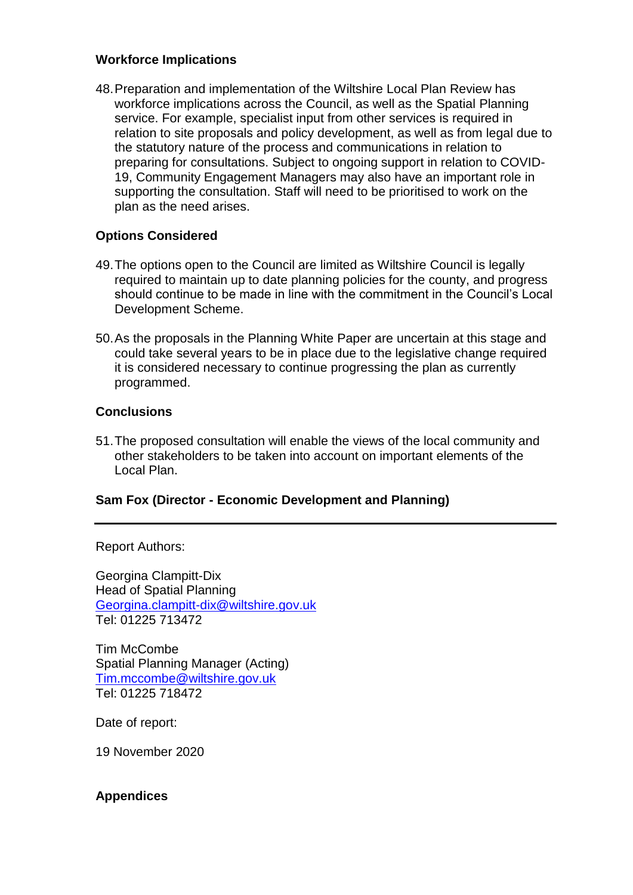### **Workforce Implications**

48.Preparation and implementation of the Wiltshire Local Plan Review has workforce implications across the Council, as well as the Spatial Planning service. For example, specialist input from other services is required in relation to site proposals and policy development, as well as from legal due to the statutory nature of the process and communications in relation to preparing for consultations. Subject to ongoing support in relation to COVID-19, Community Engagement Managers may also have an important role in supporting the consultation. Staff will need to be prioritised to work on the plan as the need arises.

# **Options Considered**

- 49.The options open to the Council are limited as Wiltshire Council is legally required to maintain up to date planning policies for the county, and progress should continue to be made in line with the commitment in the Council's Local Development Scheme.
- 50.As the proposals in the Planning White Paper are uncertain at this stage and could take several years to be in place due to the legislative change required it is considered necessary to continue progressing the plan as currently programmed.

### **Conclusions**

51.The proposed consultation will enable the views of the local community and other stakeholders to be taken into account on important elements of the Local Plan.

## **Sam Fox (Director - Economic Development and Planning)**

Report Authors:

Georgina Clampitt-Dix Head of Spatial Planning [Georgina.clampitt-dix@wiltshire.gov.uk](mailto:Georgina.clampitt-dix@wiltshire.gov.uk) Tel: 01225 713472

Tim McCombe Spatial Planning Manager (Acting) [Tim.mccombe@wiltshire.gov.uk](mailto:Tim.mccombe@wiltshire.gov.uk) Tel: 01225 718472

Date of report:

19 November 2020

#### **Appendices**